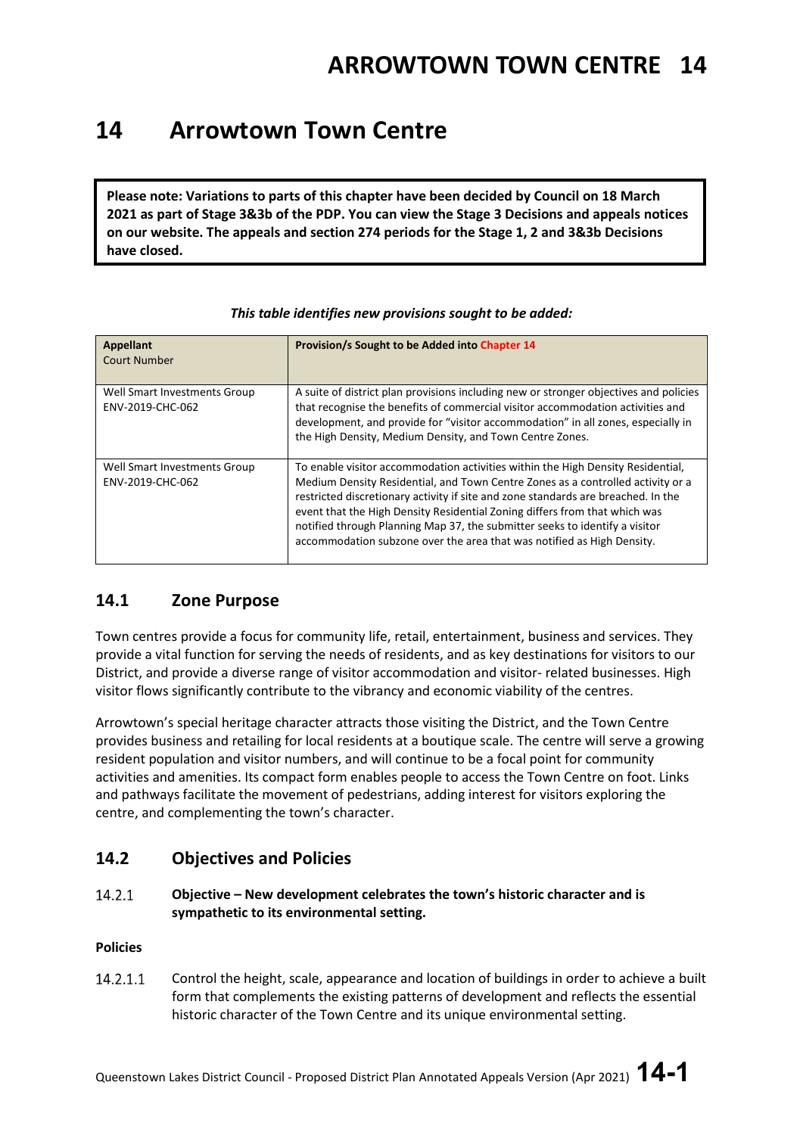### **14 Arrowtown Town Centre**

**Please note: Variations to parts of this chapter have been decided by Council on 18 March 2021 as part of Stage 3&3b of the PDP. You can view the Stage 3 Decisions and appeals notices on our website. The appeals and section 274 periods for the Stage 1, 2 and 3&3b Decisions have closed.**

| <b>Appellant</b><br><b>Court Number</b>          | Provision/s Sought to be Added into Chapter 14                                                                                                                                                                                                                                                                                                                                                                                                                                                 |
|--------------------------------------------------|------------------------------------------------------------------------------------------------------------------------------------------------------------------------------------------------------------------------------------------------------------------------------------------------------------------------------------------------------------------------------------------------------------------------------------------------------------------------------------------------|
| Well Smart Investments Group<br>ENV-2019-CHC-062 | A suite of district plan provisions including new or stronger objectives and policies<br>that recognise the benefits of commercial visitor accommodation activities and<br>development, and provide for "visitor accommodation" in all zones, especially in<br>the High Density, Medium Density, and Town Centre Zones.                                                                                                                                                                        |
| Well Smart Investments Group<br>ENV-2019-CHC-062 | To enable visitor accommodation activities within the High Density Residential,<br>Medium Density Residential, and Town Centre Zones as a controlled activity or a<br>restricted discretionary activity if site and zone standards are breached. In the<br>event that the High Density Residential Zoning differs from that which was<br>notified through Planning Map 37, the submitter seeks to identify a visitor<br>accommodation subzone over the area that was notified as High Density. |

#### *This table identifies new provisions sought to be added:*

### **14.1 Zone Purpose**

Town centres provide a focus for community life, retail, entertainment, business and services. They provide a vital function for serving the needs of residents, and as key destinations for visitors to our District, and provide a diverse range of visitor accommodation and visitor- related businesses. High visitor flows significantly contribute to the vibrancy and economic viability of the centres.

Arrowtown's special heritage character attracts those visiting the District, and the Town Centre provides business and retailing for local residents at a boutique scale. The centre will serve a growing resident population and visitor numbers, and will continue to be a focal point for community activities and amenities. Its compact form enables people to access the Town Centre on foot. Links and pathways facilitate the movement of pedestrians, adding interest for visitors exploring the centre, and complementing the town's character.

### **14.2 Objectives and Policies**

14.2.1 **Objective – New development celebrates the town's historic character and is sympathetic to its environmental setting.**

#### **Policies**

Control the height, scale, appearance and location of buildings in order to achieve a built 14.2.1.1 form that complements the existing patterns of development and reflects the essential historic character of the Town Centre and its unique environmental setting.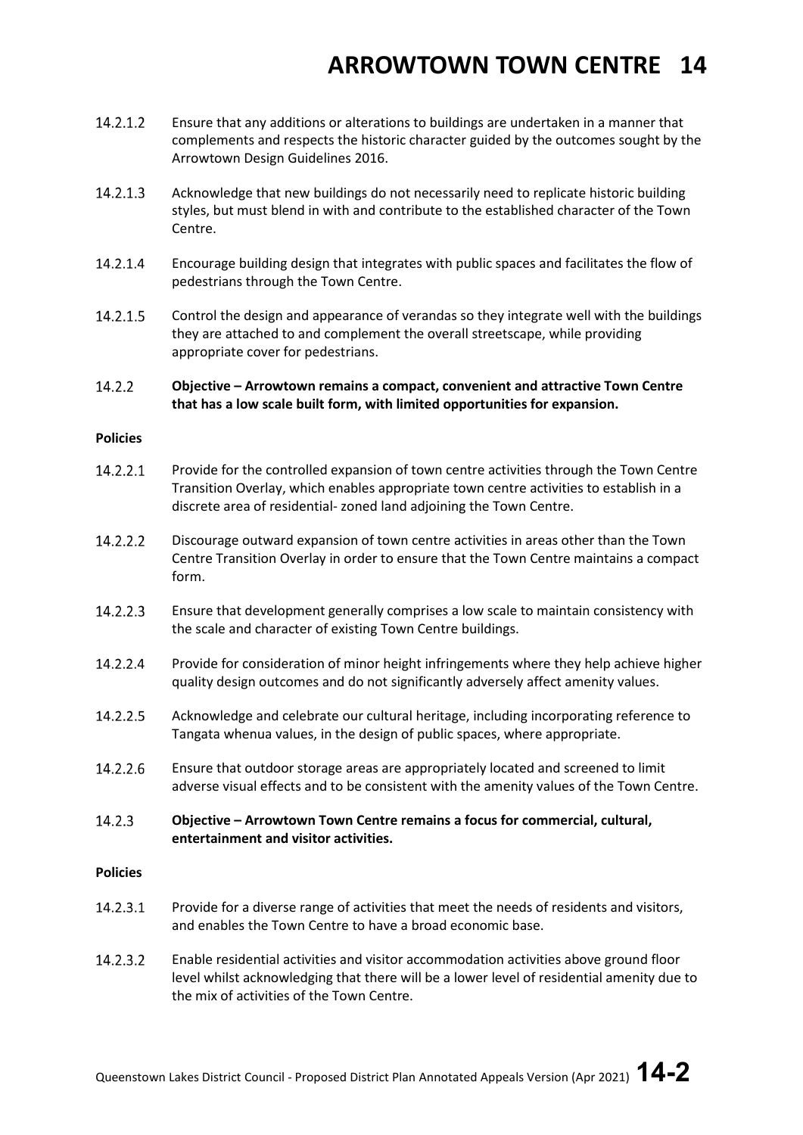- Ensure that any additions or alterations to buildings are undertaken in a manner that 14.2.1.2 complements and respects the historic character guided by the outcomes sought by the Arrowtown Design Guidelines 2016.
- 14.2.1.3 Acknowledge that new buildings do not necessarily need to replicate historic building styles, but must blend in with and contribute to the established character of the Town Centre.
- 14.2.1.4 Encourage building design that integrates with public spaces and facilitates the flow of pedestrians through the Town Centre.
- 14.2.1.5 Control the design and appearance of verandas so they integrate well with the buildings they are attached to and complement the overall streetscape, while providing appropriate cover for pedestrians.

#### 14.2.2 **Objective – Arrowtown remains a compact, convenient and attractive Town Centre that has a low scale built form, with limited opportunities for expansion.**

#### **Policies**

- 14.2.2.1 Provide for the controlled expansion of town centre activities through the Town Centre Transition Overlay, which enables appropriate town centre activities to establish in a discrete area of residential- zoned land adjoining the Town Centre.
- 14.2.2.2 Discourage outward expansion of town centre activities in areas other than the Town Centre Transition Overlay in order to ensure that the Town Centre maintains a compact form.
- 14.2.2.3 Ensure that development generally comprises a low scale to maintain consistency with the scale and character of existing Town Centre buildings.
- 14.2.2.4 Provide for consideration of minor height infringements where they help achieve higher quality design outcomes and do not significantly adversely affect amenity values.
- 14.2.2.5 Acknowledge and celebrate our cultural heritage, including incorporating reference to Tangata whenua values, in the design of public spaces, where appropriate.
- 14.2.2.6 Ensure that outdoor storage areas are appropriately located and screened to limit adverse visual effects and to be consistent with the amenity values of the Town Centre.
- 14.2.3 **Objective – Arrowtown Town Centre remains a focus for commercial, cultural, entertainment and visitor activities.**

#### **Policies**

- 14.2.3.1 Provide for a diverse range of activities that meet the needs of residents and visitors, and enables the Town Centre to have a broad economic base.
- 14.2.3.2 Enable residential activities and visitor accommodation activities above ground floor level whilst acknowledging that there will be a lower level of residential amenity due to the mix of activities of the Town Centre.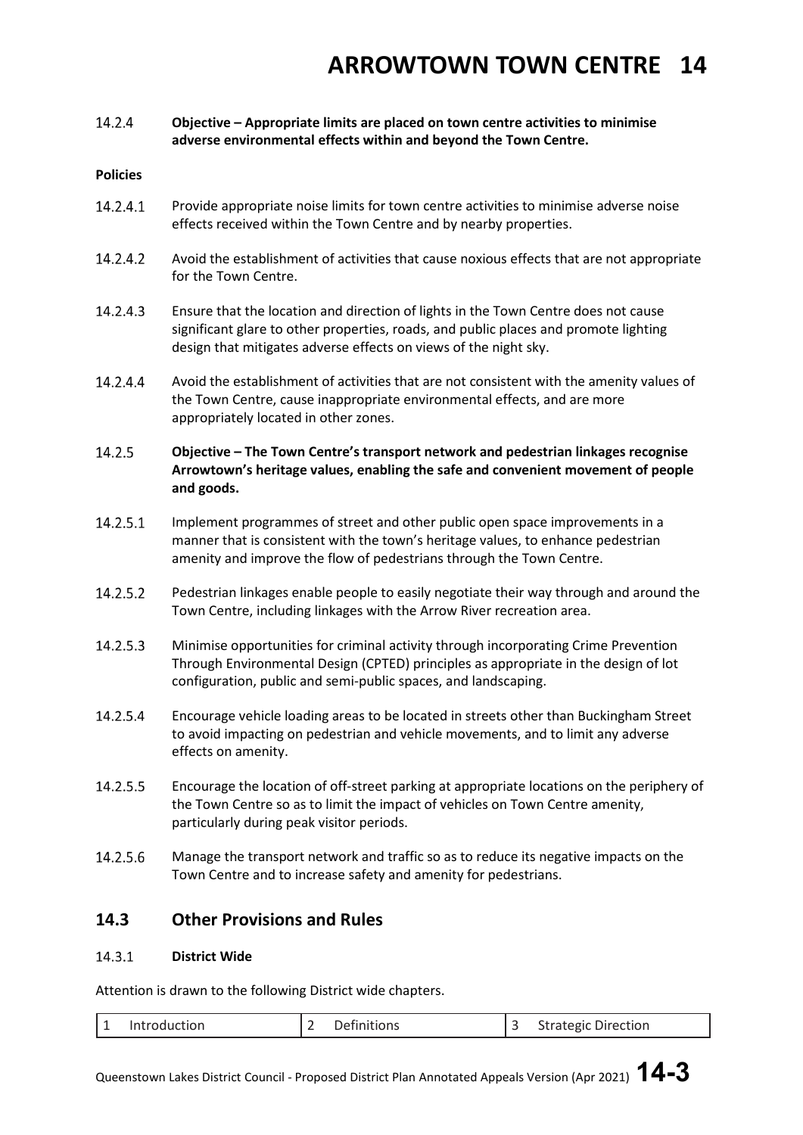#### 14.2.4 **Objective – Appropriate limits are placed on town centre activities to minimise adverse environmental effects within and beyond the Town Centre.**

#### **Policies**

- 14.2.4.1 Provide appropriate noise limits for town centre activities to minimise adverse noise effects received within the Town Centre and by nearby properties.
- 14.2.4.2 Avoid the establishment of activities that cause noxious effects that are not appropriate for the Town Centre.
- 14.2.4.3 Ensure that the location and direction of lights in the Town Centre does not cause significant glare to other properties, roads, and public places and promote lighting design that mitigates adverse effects on views of the night sky.
- 14.2.4.4 Avoid the establishment of activities that are not consistent with the amenity values of the Town Centre, cause inappropriate environmental effects, and are more appropriately located in other zones.

#### 14.2.5 **Objective – The Town Centre's transport network and pedestrian linkages recognise Arrowtown's heritage values, enabling the safe and convenient movement of people and goods.**

- 14.2.5.1 Implement programmes of street and other public open space improvements in a manner that is consistent with the town's heritage values, to enhance pedestrian amenity and improve the flow of pedestrians through the Town Centre.
- 14.2.5.2 Pedestrian linkages enable people to easily negotiate their way through and around the Town Centre, including linkages with the Arrow River recreation area.
- 14.2.5.3 Minimise opportunities for criminal activity through incorporating Crime Prevention Through Environmental Design (CPTED) principles as appropriate in the design of lot configuration, public and semi-public spaces, and landscaping.
- 14.2.5.4 Encourage vehicle loading areas to be located in streets other than Buckingham Street to avoid impacting on pedestrian and vehicle movements, and to limit any adverse effects on amenity.
- 14.2.5.5 Encourage the location of off-street parking at appropriate locations on the periphery of the Town Centre so as to limit the impact of vehicles on Town Centre amenity, particularly during peak visitor periods.
- 14.2.5.6 Manage the transport network and traffic so as to reduce its negative impacts on the Town Centre and to increase safety and amenity for pedestrians.

### **14.3 Other Provisions and Rules**

#### $14.3.1$ **District Wide**

Attention is drawn to the following District wide chapters.

|  | l 1<br>-- | Introduction |  | Definitions |  | <b>Strategic Direction</b> |
|--|-----------|--------------|--|-------------|--|----------------------------|
|--|-----------|--------------|--|-------------|--|----------------------------|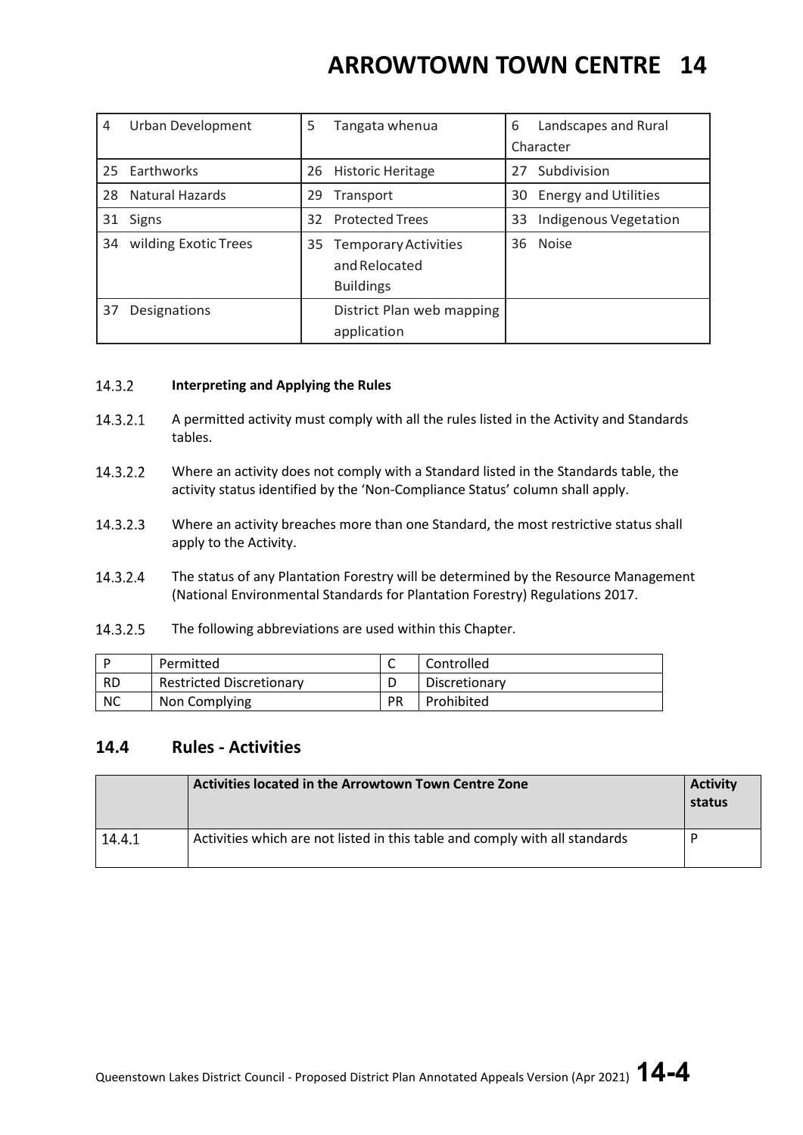| 4  | Urban Development    | 5  | Tangata whenua                                            | 6  | Landscapes and Rural        |
|----|----------------------|----|-----------------------------------------------------------|----|-----------------------------|
|    |                      |    |                                                           |    | Character                   |
| 25 | Earthworks           | 26 | <b>Historic Heritage</b>                                  | 27 | Subdivision                 |
| 28 | Natural Hazards      | 29 | Transport                                                 | 30 | <b>Energy and Utilities</b> |
| 31 | <b>Signs</b>         | 32 | <b>Protected Trees</b>                                    | 33 | Indigenous Vegetation       |
| 34 | wilding Exotic Trees | 35 | Temporary Activities<br>and Relocated<br><b>Buildings</b> | 36 | <b>Noise</b>                |
| 37 | Designations         |    | District Plan web mapping<br>application                  |    |                             |

#### 14.3.2 **Interpreting and Applying the Rules**

- 14.3.2.1 A permitted activity must comply with all the rules listed in the Activity and Standards tables.
- 14.3.2.2 Where an activity does not comply with a Standard listed in the Standards table, the activity status identified by the 'Non-Compliance Status' column shall apply.
- 14.3.2.3 Where an activity breaches more than one Standard, the most restrictive status shall apply to the Activity.
- 14.3.2.4 The status of any Plantation Forestry will be determined by the Resource Management (National Environmental Standards for Plantation Forestry) Regulations 2017.
- 14.3.2.5 The following abbreviations are used within this Chapter.

|           | Permitted                       | ∼  | Controlled    |
|-----------|---------------------------------|----|---------------|
| <b>RD</b> | <b>Restricted Discretionary</b> |    | Discretionary |
| <b>NC</b> | Non Complying                   | РR | Prohibited    |

### **14.4 Rules - Activities**

|        | Activities located in the Arrowtown Town Centre Zone                        | <b>Activity</b><br>status |
|--------|-----------------------------------------------------------------------------|---------------------------|
| 14.4.1 | Activities which are not listed in this table and comply with all standards |                           |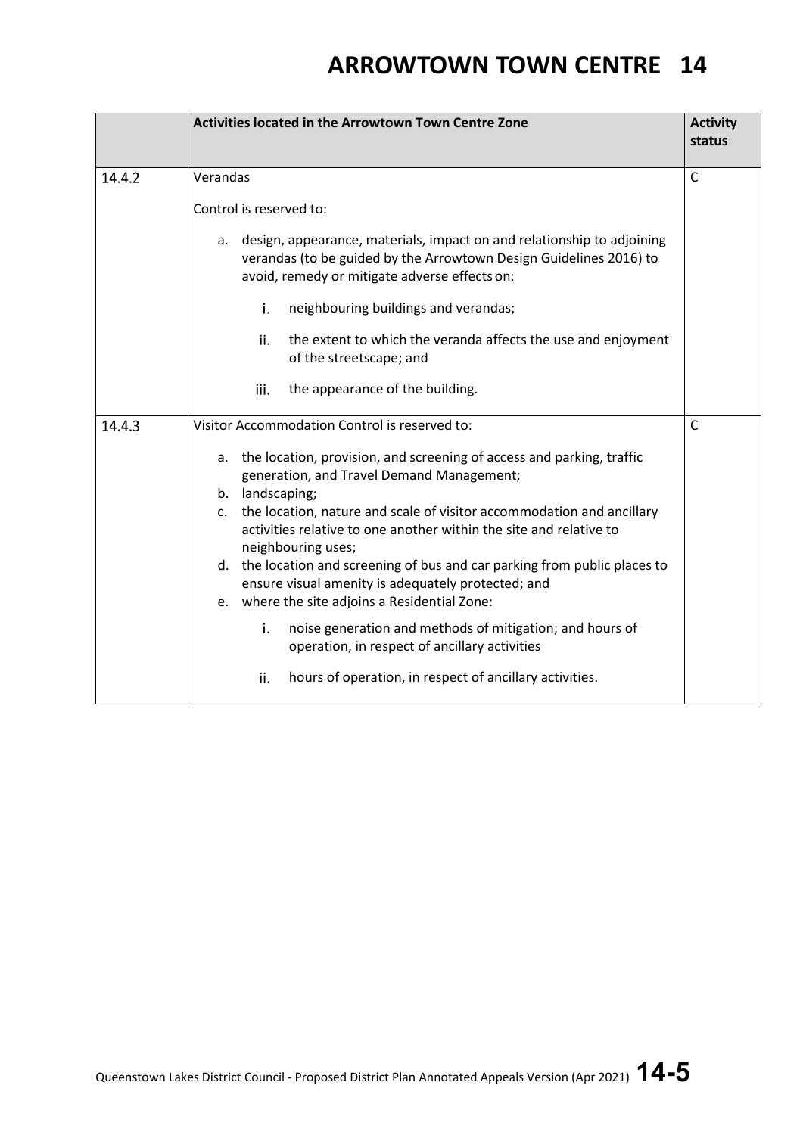|        | Activities located in the Arrowtown Town Centre Zone                                                                                                                                                                                                                                                                                                                                                                                                                                                                                                                                                                                                                                                                                           | <b>Activity</b><br>status |
|--------|------------------------------------------------------------------------------------------------------------------------------------------------------------------------------------------------------------------------------------------------------------------------------------------------------------------------------------------------------------------------------------------------------------------------------------------------------------------------------------------------------------------------------------------------------------------------------------------------------------------------------------------------------------------------------------------------------------------------------------------------|---------------------------|
| 14.4.2 | Verandas<br>Control is reserved to:<br>a. design, appearance, materials, impact on and relationship to adjoining<br>verandas (to be guided by the Arrowtown Design Guidelines 2016) to<br>avoid, remedy or mitigate adverse effects on:                                                                                                                                                                                                                                                                                                                                                                                                                                                                                                        | $\mathsf{C}$              |
|        | i.<br>neighbouring buildings and verandas;<br>ii.<br>the extent to which the veranda affects the use and enjoyment<br>of the streetscape; and<br>the appearance of the building.<br>iii.                                                                                                                                                                                                                                                                                                                                                                                                                                                                                                                                                       |                           |
| 14.4.3 | Visitor Accommodation Control is reserved to:<br>a. the location, provision, and screening of access and parking, traffic<br>generation, and Travel Demand Management;<br>b. landscaping;<br>the location, nature and scale of visitor accommodation and ancillary<br>C.<br>activities relative to one another within the site and relative to<br>neighbouring uses;<br>d. the location and screening of bus and car parking from public places to<br>ensure visual amenity is adequately protected; and<br>e. where the site adjoins a Residential Zone:<br>i.<br>noise generation and methods of mitigation; and hours of<br>operation, in respect of ancillary activities<br>ii.<br>hours of operation, in respect of ancillary activities. | $\mathsf{C}$              |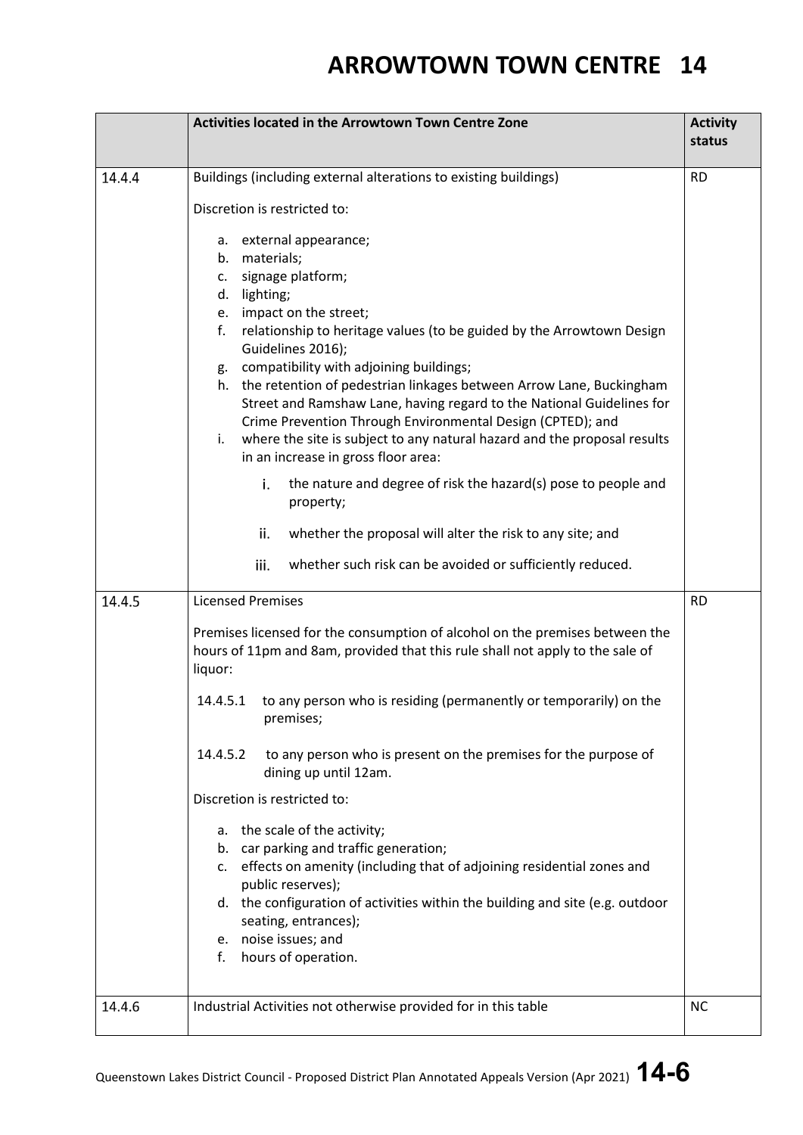|        | <b>Activities located in the Arrowtown Town Centre Zone</b>                                                                                                                                                                                                                                                                                                                                                                                                                                                                                                                                                                                                                                                                                                                                                                                                                                                                                   | <b>Activity</b><br>status |
|--------|-----------------------------------------------------------------------------------------------------------------------------------------------------------------------------------------------------------------------------------------------------------------------------------------------------------------------------------------------------------------------------------------------------------------------------------------------------------------------------------------------------------------------------------------------------------------------------------------------------------------------------------------------------------------------------------------------------------------------------------------------------------------------------------------------------------------------------------------------------------------------------------------------------------------------------------------------|---------------------------|
| 14.4.4 | Buildings (including external alterations to existing buildings)<br>Discretion is restricted to:<br>a. external appearance;<br>b. materials;<br>c. signage platform;<br>d. lighting;<br>e. impact on the street;<br>f.<br>relationship to heritage values (to be guided by the Arrowtown Design<br>Guidelines 2016);<br>compatibility with adjoining buildings;<br>g.<br>h. the retention of pedestrian linkages between Arrow Lane, Buckingham<br>Street and Ramshaw Lane, having regard to the National Guidelines for<br>Crime Prevention Through Environmental Design (CPTED); and<br>where the site is subject to any natural hazard and the proposal results<br>i.<br>in an increase in gross floor area:<br>i.<br>the nature and degree of risk the hazard(s) pose to people and<br>property;<br>whether the proposal will alter the risk to any site; and<br>ii.<br>iii.<br>whether such risk can be avoided or sufficiently reduced. | <b>RD</b>                 |
| 14.4.5 | <b>Licensed Premises</b><br>Premises licensed for the consumption of alcohol on the premises between the<br>hours of 11pm and 8am, provided that this rule shall not apply to the sale of<br>liquor:<br>to any person who is residing (permanently or temporarily) on the<br>14.4.5.1<br>premises;<br>to any person who is present on the premises for the purpose of<br>14.4.5.2<br>dining up until 12am.<br>Discretion is restricted to:<br>a. the scale of the activity;<br>b. car parking and traffic generation;<br>c. effects on amenity (including that of adjoining residential zones and<br>public reserves);<br>d. the configuration of activities within the building and site (e.g. outdoor<br>seating, entrances);<br>e. noise issues; and<br>hours of operation.<br>f.                                                                                                                                                          | <b>RD</b>                 |
| 14.4.6 | Industrial Activities not otherwise provided for in this table                                                                                                                                                                                                                                                                                                                                                                                                                                                                                                                                                                                                                                                                                                                                                                                                                                                                                | <b>NC</b>                 |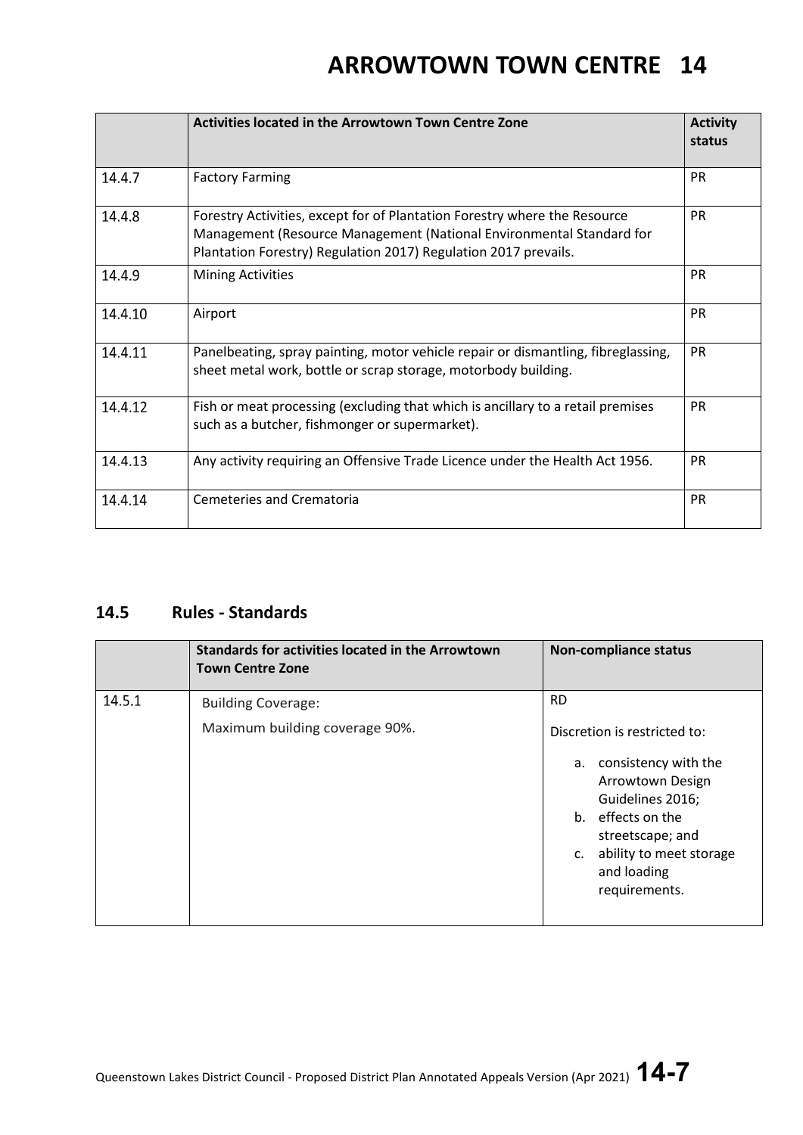|         | <b>Activities located in the Arrowtown Town Centre Zone</b>                                                                                                                                                          | <b>Activity</b><br>status |
|---------|----------------------------------------------------------------------------------------------------------------------------------------------------------------------------------------------------------------------|---------------------------|
| 14.4.7  | <b>Factory Farming</b>                                                                                                                                                                                               | <b>PR</b>                 |
| 14.4.8  | Forestry Activities, except for of Plantation Forestry where the Resource<br>Management (Resource Management (National Environmental Standard for<br>Plantation Forestry) Regulation 2017) Regulation 2017 prevails. | <b>PR</b>                 |
| 14.4.9  | <b>Mining Activities</b>                                                                                                                                                                                             | <b>PR</b>                 |
| 14.4.10 | Airport                                                                                                                                                                                                              | <b>PR</b>                 |
| 14.4.11 | Panelbeating, spray painting, motor vehicle repair or dismantling, fibreglassing,<br>sheet metal work, bottle or scrap storage, motorbody building.                                                                  | <b>PR</b>                 |
| 14.4.12 | Fish or meat processing (excluding that which is ancillary to a retail premises<br>such as a butcher, fishmonger or supermarket).                                                                                    | <b>PR</b>                 |
| 14.4.13 | Any activity requiring an Offensive Trade Licence under the Health Act 1956.                                                                                                                                         | <b>PR</b>                 |
| 14.4.14 | Cemeteries and Crematoria                                                                                                                                                                                            | <b>PR</b>                 |

### **14.5 Rules - Standards**

|        | <b>Standards for activities located in the Arrowtown</b><br><b>Town Centre Zone</b> | <b>Non-compliance status</b>                                                                                                  |
|--------|-------------------------------------------------------------------------------------|-------------------------------------------------------------------------------------------------------------------------------|
| 14.5.1 | <b>Building Coverage:</b>                                                           | <b>RD</b>                                                                                                                     |
|        | Maximum building coverage 90%.                                                      | Discretion is restricted to:<br>consistency with the<br>а.                                                                    |
|        |                                                                                     | Arrowtown Design<br>Guidelines 2016;<br>b. effects on the<br>streetscape; and<br>ability to meet storage<br>c.<br>and loading |
|        |                                                                                     | requirements.                                                                                                                 |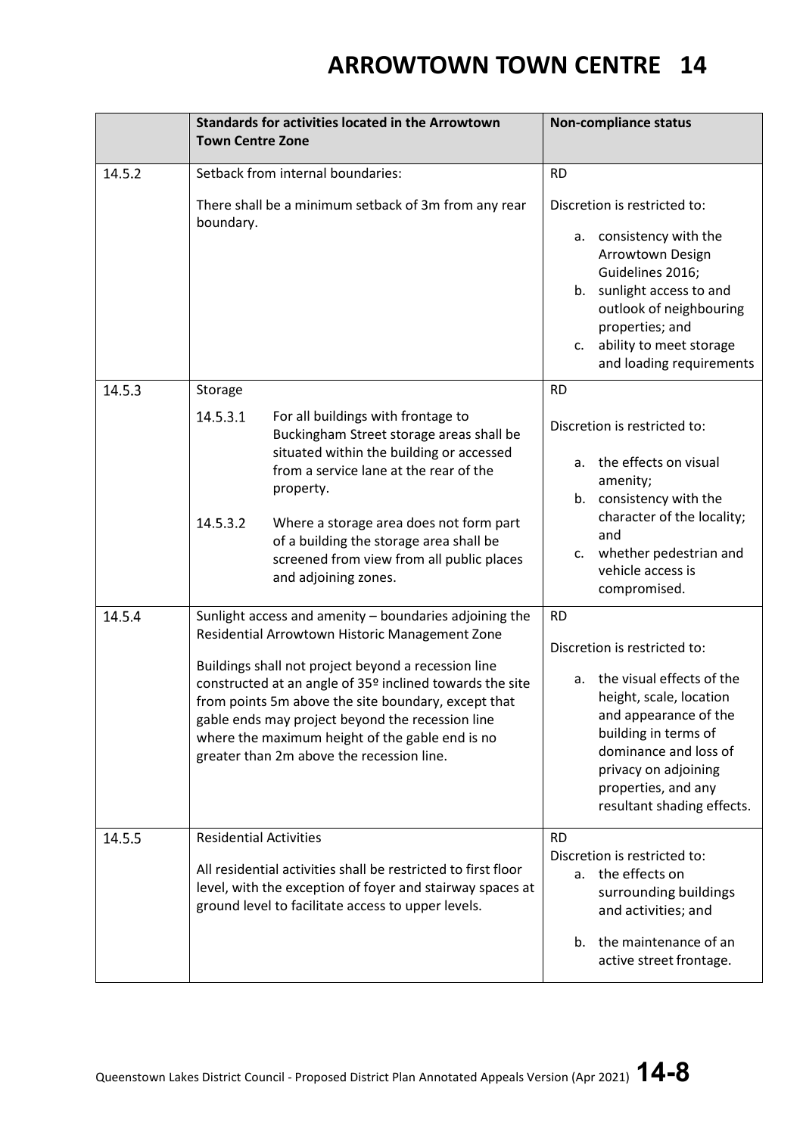|        | <b>Standards for activities located in the Arrowtown</b><br><b>Town Centre Zone</b>                                                                                                                                                                                                                                                                                                                                                    | <b>Non-compliance status</b>                                                                                                                                                                                                                                   |  |  |
|--------|----------------------------------------------------------------------------------------------------------------------------------------------------------------------------------------------------------------------------------------------------------------------------------------------------------------------------------------------------------------------------------------------------------------------------------------|----------------------------------------------------------------------------------------------------------------------------------------------------------------------------------------------------------------------------------------------------------------|--|--|
| 14.5.2 | Setback from internal boundaries:                                                                                                                                                                                                                                                                                                                                                                                                      | <b>RD</b>                                                                                                                                                                                                                                                      |  |  |
|        | There shall be a minimum setback of 3m from any rear<br>boundary.                                                                                                                                                                                                                                                                                                                                                                      | Discretion is restricted to:<br>consistency with the<br>а.<br>Arrowtown Design<br>Guidelines 2016;<br>b. sunlight access to and<br>outlook of neighbouring<br>properties; and<br>ability to meet storage<br>c.<br>and loading requirements                     |  |  |
| 14.5.3 | Storage                                                                                                                                                                                                                                                                                                                                                                                                                                | <b>RD</b>                                                                                                                                                                                                                                                      |  |  |
|        | 14.5.3.1<br>For all buildings with frontage to<br>Buckingham Street storage areas shall be<br>situated within the building or accessed<br>from a service lane at the rear of the<br>property.<br>14.5.3.2<br>Where a storage area does not form part<br>of a building the storage area shall be                                                                                                                                        | Discretion is restricted to:<br>the effects on visual<br>a.<br>amenity;<br>b. consistency with the<br>character of the locality;<br>and<br>whether pedestrian and<br>c.                                                                                        |  |  |
|        | screened from view from all public places<br>and adjoining zones.                                                                                                                                                                                                                                                                                                                                                                      | vehicle access is<br>compromised.                                                                                                                                                                                                                              |  |  |
| 14.5.4 | Sunlight access and amenity - boundaries adjoining the<br>Residential Arrowtown Historic Management Zone<br>Buildings shall not project beyond a recession line<br>constructed at an angle of 35º inclined towards the site<br>from points 5m above the site boundary, except that<br>gable ends may project beyond the recession line<br>where the maximum height of the gable end is no<br>greater than 2m above the recession line. | <b>RD</b><br>Discretion is restricted to:<br>the visual effects of the<br>а.<br>height, scale, location<br>and appearance of the<br>building in terms of<br>dominance and loss of<br>privacy on adjoining<br>properties, and any<br>resultant shading effects. |  |  |
| 14.5.5 | <b>Residential Activities</b><br>All residential activities shall be restricted to first floor<br>level, with the exception of foyer and stairway spaces at<br>ground level to facilitate access to upper levels.                                                                                                                                                                                                                      | <b>RD</b><br>Discretion is restricted to:<br>the effects on<br>a.<br>surrounding buildings<br>and activities; and<br>the maintenance of an<br>b.<br>active street frontage.                                                                                    |  |  |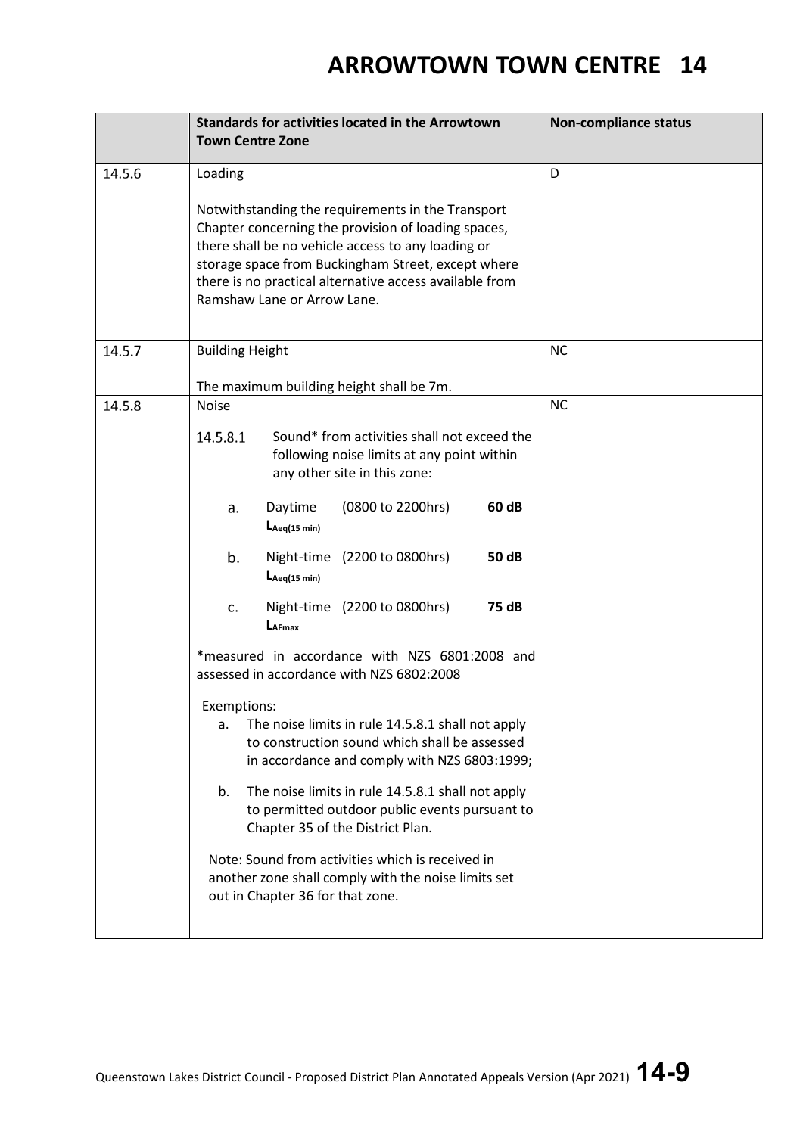|        | <b>Standards for activities located in the Arrowtown</b><br><b>Town Centre Zone</b>                                                                                                                                                                                                                                       | <b>Non-compliance status</b> |
|--------|---------------------------------------------------------------------------------------------------------------------------------------------------------------------------------------------------------------------------------------------------------------------------------------------------------------------------|------------------------------|
| 14.5.6 | Loading<br>Notwithstanding the requirements in the Transport<br>Chapter concerning the provision of loading spaces,<br>there shall be no vehicle access to any loading or<br>storage space from Buckingham Street, except where<br>there is no practical alternative access available from<br>Ramshaw Lane or Arrow Lane. | D                            |
| 14.5.7 | <b>Building Height</b>                                                                                                                                                                                                                                                                                                    | <b>NC</b>                    |
| 14.5.8 | The maximum building height shall be 7m.<br><b>Noise</b>                                                                                                                                                                                                                                                                  | <b>NC</b>                    |
|        | Sound* from activities shall not exceed the<br>14.5.8.1<br>following noise limits at any point within<br>any other site in this zone:                                                                                                                                                                                     |                              |
|        | 60 dB<br>Daytime<br>(0800 to 2200hrs)<br>a.<br>$L_{Aeq(15 min)}$                                                                                                                                                                                                                                                          |                              |
|        | b.<br>Night-time (2200 to 0800hrs)<br>50 dB<br>$L_{Aeq(15 min)}$                                                                                                                                                                                                                                                          |                              |
|        | 75 dB<br>Night-time (2200 to 0800hrs)<br>c.<br>$L_{AFmax}$                                                                                                                                                                                                                                                                |                              |
|        | *measured in accordance with NZS 6801:2008 and<br>assessed in accordance with NZS 6802:2008                                                                                                                                                                                                                               |                              |
|        | Exemptions:<br>The noise limits in rule 14.5.8.1 shall not apply<br>a.<br>to construction sound which shall be assessed<br>in accordance and comply with NZS 6803:1999;                                                                                                                                                   |                              |
|        | The noise limits in rule 14.5.8.1 shall not apply<br>b.<br>to permitted outdoor public events pursuant to<br>Chapter 35 of the District Plan.                                                                                                                                                                             |                              |
|        | Note: Sound from activities which is received in<br>another zone shall comply with the noise limits set<br>out in Chapter 36 for that zone.                                                                                                                                                                               |                              |